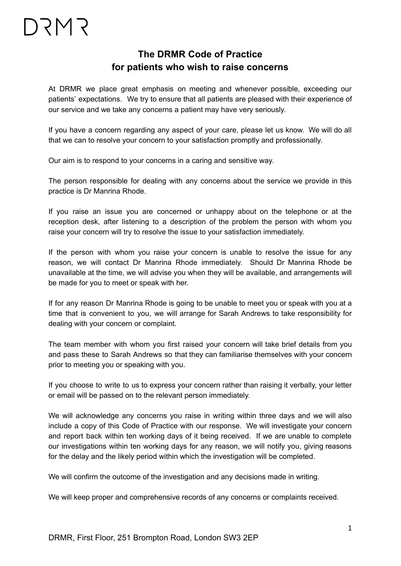## **The DRMR Code of Practice for patients who wish to raise concerns**

At DRMR we place great emphasis on meeting and whenever possible, exceeding our patients' expectations. We try to ensure that all patients are pleased with their experience of our service and we take any concerns a patient may have very seriously.

If you have a concern regarding any aspect of your care, please let us know. We will do all that we can to resolve your concern to your satisfaction promptly and professionally.

Our aim is to respond to your concerns in a caring and sensitive way.

The person responsible for dealing with any concerns about the service we provide in this practice is Dr Manrina Rhode.

If you raise an issue you are concerned or unhappy about on the telephone or at the reception desk, after listening to a description of the problem the person with whom you raise your concern will try to resolve the issue to your satisfaction immediately.

If the person with whom you raise your concern is unable to resolve the issue for any reason, we will contact Dr Manrina Rhode immediately. Should Dr Manrina Rhode be unavailable at the time, we will advise you when they will be available, and arrangements will be made for you to meet or speak with her.

If for any reason Dr Manrina Rhode is going to be unable to meet you or speak with you at a time that is convenient to you, we will arrange for Sarah Andrews to take responsibility for dealing with your concern or complaint.

The team member with whom you first raised your concern will take brief details from you and pass these to Sarah Andrews so that they can familiarise themselves with your concern prior to meeting you or speaking with you.

If you choose to write to us to express your concern rather than raising it verbally, your letter or email will be passed on to the relevant person immediately.

We will acknowledge any concerns you raise in writing within three days and we will also include a copy of this Code of Practice with our response. We will investigate your concern and report back within ten working days of it being received. If we are unable to complete our investigations within ten working days for any reason, we will notify you, giving reasons for the delay and the likely period within which the investigation will be completed.

We will confirm the outcome of the investigation and any decisions made in writing.

We will keep proper and comprehensive records of any concerns or complaints received.